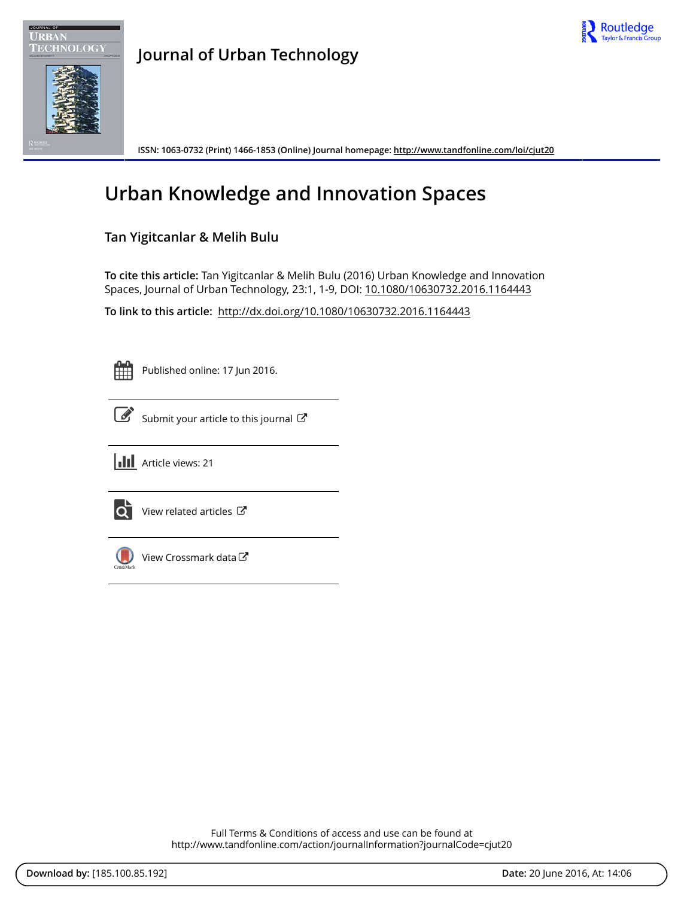



**Journal of Urban Technology**

**ISSN: 1063-0732 (Print) 1466-1853 (Online) Journal homepage:<http://www.tandfonline.com/loi/cjut20>**

# **Urban Knowledge and Innovation Spaces**

## **Tan Yigitcanlar & Melih Bulu**

**To cite this article:** Tan Yigitcanlar & Melih Bulu (2016) Urban Knowledge and Innovation Spaces, Journal of Urban Technology, 23:1, 1-9, DOI: [10.1080/10630732.2016.1164443](http://www.tandfonline.com/action/showCitFormats?doi=10.1080/10630732.2016.1164443)

**To link to this article:** <http://dx.doi.org/10.1080/10630732.2016.1164443>

Published online: 17 Jun 2016.



 $\overrightarrow{S}$  [Submit your article to this journal](http://www.tandfonline.com/action/authorSubmission?journalCode=cjut20&page=instructions)  $\overrightarrow{S}$ 



**III** Article views: 21



[View related articles](http://www.tandfonline.com/doi/mlt/10.1080/10630732.2016.1164443) C



[View Crossmark data](http://crossmark.crossref.org/dialog/?doi=10.1080/10630732.2016.1164443&domain=pdf&date_stamp=2016-06-17)

Full Terms & Conditions of access and use can be found at <http://www.tandfonline.com/action/journalInformation?journalCode=cjut20>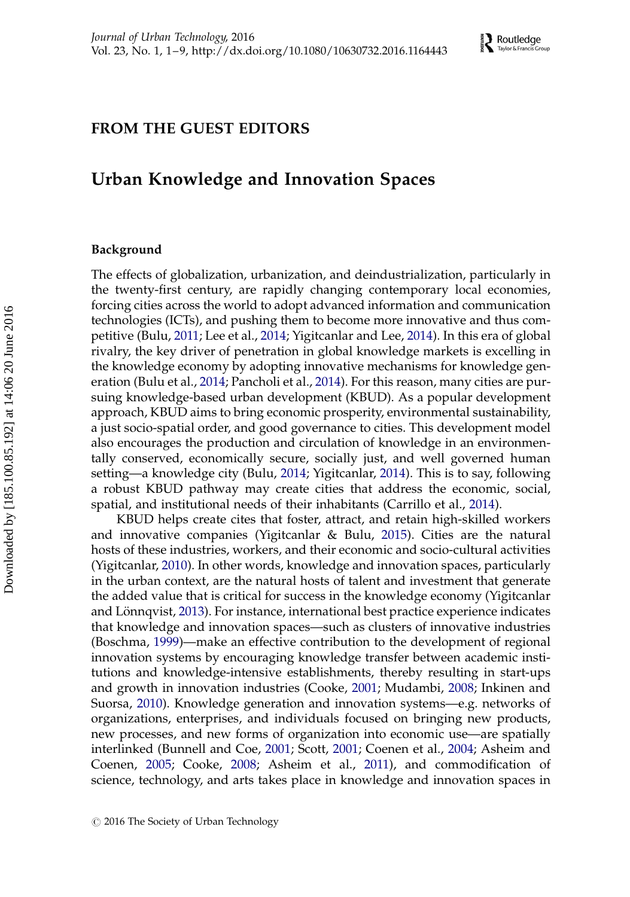### <span id="page-1-0"></span>FROM THE GUEST EDITORS

## Urban Knowledge and Innovation Spaces

#### Background

The effects of globalization, urbanization, and deindustrialization, particularly in the twenty-first century, are rapidly changing contemporary local economies, forcing cities across the world to adopt advanced information and communication technologies (ICTs), and pushing them to become more innovative and thus competitive (Bulu, [2011;](#page-7-0) Lee et al., [2014](#page-8-0); Yigitcanlar and Lee, [2014\)](#page-9-0). In this era of global rivalry, the key driver of penetration in global knowledge markets is excelling in the knowledge economy by adopting innovative mechanisms for knowledge generation (Bulu et al., [2014;](#page-7-0) Pancholi et al., [2014\)](#page-8-0). For this reason, many cities are pursuing knowledge-based urban development (KBUD). As a popular development approach, KBUD aims to bring economic prosperity, environmental sustainability, a just socio-spatial order, and good governance to cities. This development model also encourages the production and circulation of knowledge in an environmentally conserved, economically secure, socially just, and well governed human setting—a knowledge city (Bulu, [2014;](#page-7-0) Yigitcanlar, [2014\)](#page-9-0). This is to say, following a robust KBUD pathway may create cities that address the economic, social, spatial, and institutional needs of their inhabitants (Carrillo et al., [2014\)](#page-7-0).

KBUD helps create cites that foster, attract, and retain high-skilled workers and innovative companies (Yigitcanlar  $\&$  Bulu, [2015\)](#page-9-0). Cities are the natural hosts of these industries, workers, and their economic and socio-cultural activities (Yigitcanlar, [2010\)](#page-9-0). In other words, knowledge and innovation spaces, particularly in the urban context, are the natural hosts of talent and investment that generate the added value that is critical for success in the knowledge economy (Yigitcanlar and Lönnqvist, [2013](#page-9-0)). For instance, international best practice experience indicates that knowledge and innovation spaces—such as clusters of innovative industries (Boschma, [1999](#page-7-0))—make an effective contribution to the development of regional innovation systems by encouraging knowledge transfer between academic institutions and knowledge-intensive establishments, thereby resulting in start-ups and growth in innovation industries (Cooke, [2001;](#page-8-0) Mudambi, [2008](#page-8-0); Inkinen and Suorsa, [2010](#page-8-0)). Knowledge generation and innovation systems—e.g. networks of organizations, enterprises, and individuals focused on bringing new products, new processes, and new forms of organization into economic use—are spatially interlinked (Bunnell and Coe, [2001;](#page-7-0) Scott, [2001;](#page-8-0) Coenen et al., [2004;](#page-8-0) Asheim and Coenen, [2005](#page-7-0); Cooke, [2008;](#page-8-0) Asheim et al., [2011\)](#page-7-0), and commodification of science, technology, and arts takes place in knowledge and innovation spaces in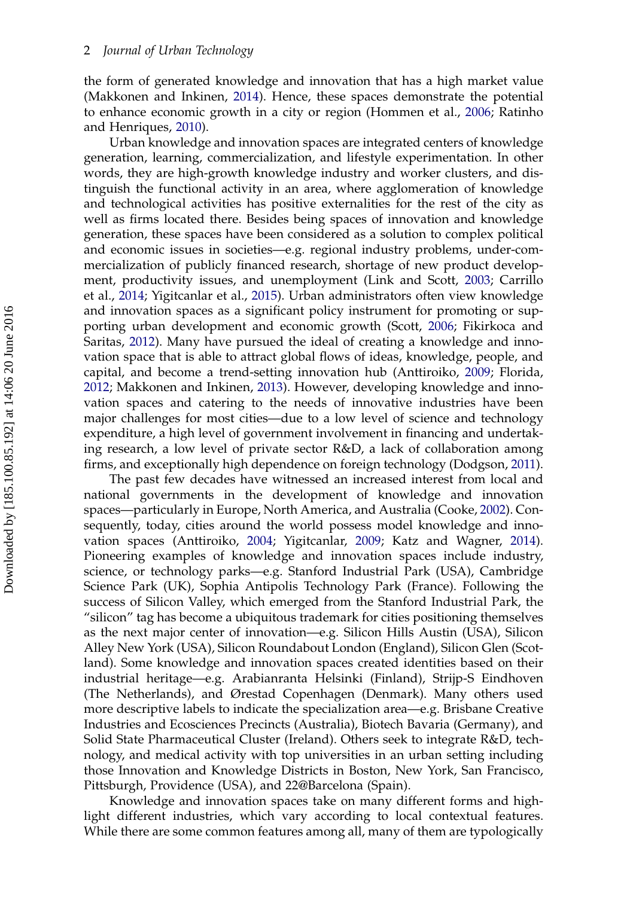<span id="page-2-0"></span>the form of generated knowledge and innovation that has a high market value (Makkonen and Inkinen, [2014\)](#page-8-0). Hence, these spaces demonstrate the potential to enhance economic growth in a city or region (Hommen et al., [2006](#page-8-0); Ratinho and Henriques, [2010\)](#page-8-0).

Urban knowledge and innovation spaces are integrated centers of knowledge generation, learning, commercialization, and lifestyle experimentation. In other words, they are high-growth knowledge industry and worker clusters, and distinguish the functional activity in an area, where agglomeration of knowledge and technological activities has positive externalities for the rest of the city as well as firms located there. Besides being spaces of innovation and knowledge generation, these spaces have been considered as a solution to complex political and economic issues in societies—e.g. regional industry problems, under-commercialization of publicly financed research, shortage of new product development, productivity issues, and unemployment (Link and Scott, [2003](#page-8-0); Carrillo et al., [2014](#page-7-0); Yigitcanlar et al., [2015](#page-9-0)). Urban administrators often view knowledge and innovation spaces as a significant policy instrument for promoting or supporting urban development and economic growth (Scott, [2006](#page-8-0); Fikirkoca and Saritas, [2012](#page-8-0)). Many have pursued the ideal of creating a knowledge and innovation space that is able to attract global flows of ideas, knowledge, people, and capital, and become a trend-setting innovation hub (Anttiroiko, [2009](#page-7-0); Florida, [2012;](#page-8-0) Makkonen and Inkinen, [2013\)](#page-8-0). However, developing knowledge and innovation spaces and catering to the needs of innovative industries have been major challenges for most cities—due to a low level of science and technology expenditure, a high level of government involvement in financing and undertaking research, a low level of private sector R&D, a lack of collaboration among firms, and exceptionally high dependence on foreign technology (Dodgson, [2011\)](#page-8-0).

The past few decades have witnessed an increased interest from local and national governments in the development of knowledge and innovation spaces—particularly in Europe, North America, and Australia (Cooke, [2002](#page-8-0)). Consequently, today, cities around the world possess model knowledge and innovation spaces (Anttiroiko, [2004;](#page-7-0) Yigitcanlar, [2009](#page-9-0); Katz and Wagner, [2014\)](#page-8-0). Pioneering examples of knowledge and innovation spaces include industry, science, or technology parks—e.g. Stanford Industrial Park (USA), Cambridge Science Park (UK), Sophia Antipolis Technology Park (France). Following the success of Silicon Valley, which emerged from the Stanford Industrial Park, the "silicon" tag has become a ubiquitous trademark for cities positioning themselves as the next major center of innovation—e.g. Silicon Hills Austin (USA), Silicon Alley New York (USA), Silicon Roundabout London (England), Silicon Glen (Scotland). Some knowledge and innovation spaces created identities based on their industrial heritage—e.g. Arabianranta Helsinki (Finland), Strijp-S Eindhoven (The Netherlands), and Ørestad Copenhagen (Denmark). Many others used more descriptive labels to indicate the specialization area—e.g. Brisbane Creative Industries and Ecosciences Precincts (Australia), Biotech Bavaria (Germany), and Solid State Pharmaceutical Cluster (Ireland). Others seek to integrate R&D, technology, and medical activity with top universities in an urban setting including those Innovation and Knowledge Districts in Boston, New York, San Francisco, Pittsburgh, Providence (USA), and 22@Barcelona (Spain).

Knowledge and innovation spaces take on many different forms and highlight different industries, which vary according to local contextual features. While there are some common features among all, many of them are typologically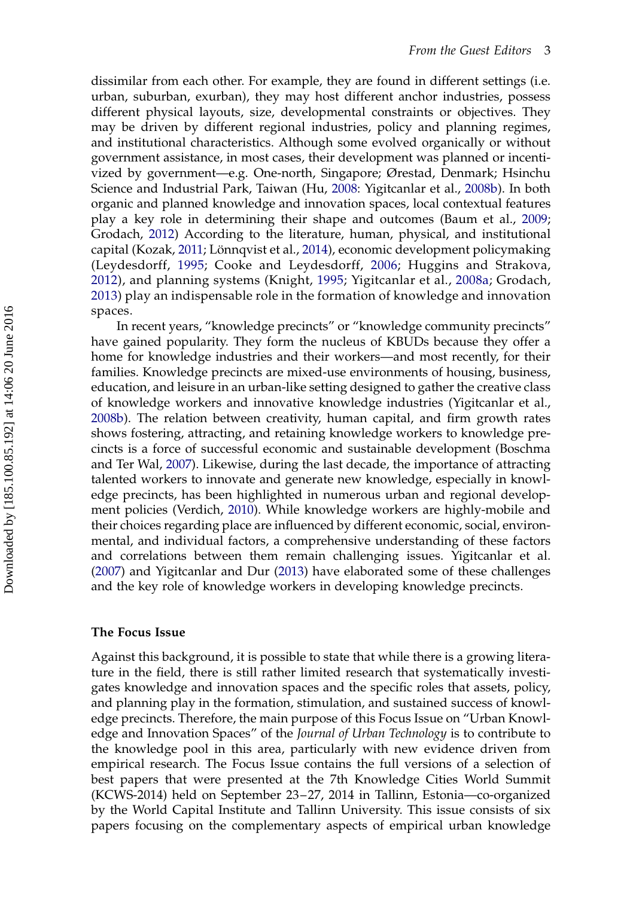<span id="page-3-0"></span>dissimilar from each other. For example, they are found in different settings (i.e. urban, suburban, exurban), they may host different anchor industries, possess different physical layouts, size, developmental constraints or objectives. They may be driven by different regional industries, policy and planning regimes, and institutional characteristics. Although some evolved organically or without government assistance, in most cases, their development was planned or incentivized by government—e.g. One-north, Singapore; Ørestad, Denmark; Hsinchu Science and Industrial Park, Taiwan (Hu, [2008:](#page-8-0) Yigitcanlar et al., [2008b\)](#page-9-0). In both organic and planned knowledge and innovation spaces, local contextual features play a key role in determining their shape and outcomes (Baum et al., [2009;](#page-7-0) Grodach, [2012\)](#page-8-0) According to the literature, human, physical, and institutional capital (Kozak, [2011](#page-8-0); Lönnqvist et al., [2014\)](#page-8-0), economic development policymaking (Leydesdorff, [1995;](#page-8-0) Cooke and Leydesdorff, [2006](#page-8-0); Huggins and Strakova, [2012](#page-8-0)), and planning systems (Knight, [1995](#page-8-0); Yigitcanlar et al., [2008a](#page-9-0); Grodach, [2013](#page-8-0)) play an indispensable role in the formation of knowledge and innovation spaces.

In recent years, "knowledge precincts" or "knowledge community precincts" have gained popularity. They form the nucleus of KBUDs because they offer a home for knowledge industries and their workers—and most recently, for their families. Knowledge precincts are mixed-use environments of housing, business, education, and leisure in an urban-like setting designed to gather the creative class of knowledge workers and innovative knowledge industries (Yigitcanlar et al., [2008b\)](#page-9-0). The relation between creativity, human capital, and firm growth rates shows fostering, attracting, and retaining knowledge workers to knowledge precincts is a force of successful economic and sustainable development (Boschma and Ter Wal, [2007](#page-7-0)). Likewise, during the last decade, the importance of attracting talented workers to innovate and generate new knowledge, especially in knowledge precincts, has been highlighted in numerous urban and regional development policies (Verdich, [2010\)](#page-8-0). While knowledge workers are highly-mobile and their choices regarding place are influenced by different economic, social, environmental, and individual factors, a comprehensive understanding of these factors and correlations between them remain challenging issues. Yigitcanlar et al. ([2007\)](#page-9-0) and Yigitcanlar and Dur [\(2013](#page-9-0)) have elaborated some of these challenges and the key role of knowledge workers in developing knowledge precincts.

#### The Focus Issue

Against this background, it is possible to state that while there is a growing literature in the field, there is still rather limited research that systematically investigates knowledge and innovation spaces and the specific roles that assets, policy, and planning play in the formation, stimulation, and sustained success of knowledge precincts. Therefore, the main purpose of this Focus Issue on "Urban Knowledge and Innovation Spaces" of the Journal of Urban Technology is to contribute to the knowledge pool in this area, particularly with new evidence driven from empirical research. The Focus Issue contains the full versions of a selection of best papers that were presented at the 7th Knowledge Cities World Summit (KCWS-2014) held on September 23– 27, 2014 in Tallinn, Estonia—co-organized by the World Capital Institute and Tallinn University. This issue consists of six papers focusing on the complementary aspects of empirical urban knowledge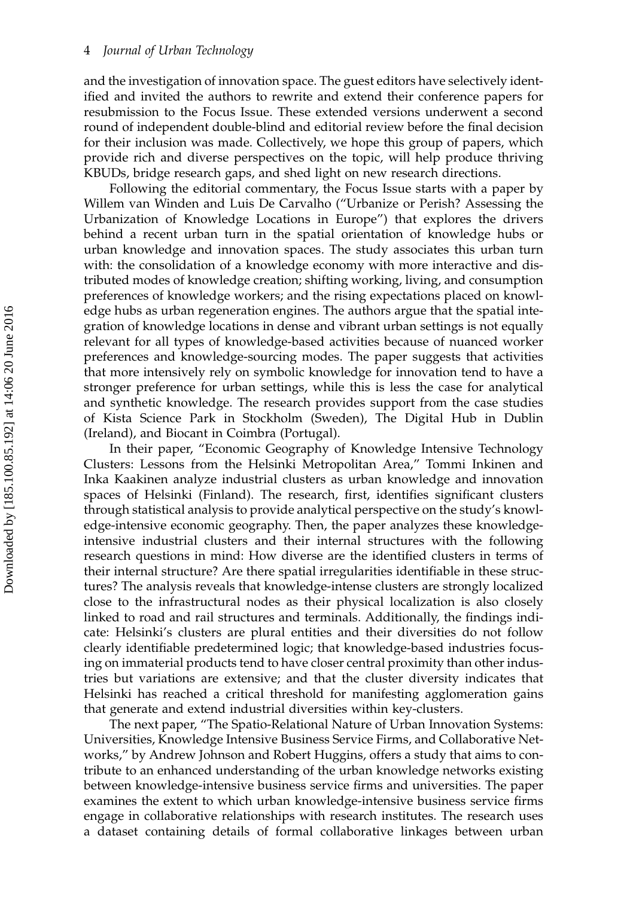and the investigation of innovation space. The guest editors have selectively identified and invited the authors to rewrite and extend their conference papers for resubmission to the Focus Issue. These extended versions underwent a second round of independent double-blind and editorial review before the final decision for their inclusion was made. Collectively, we hope this group of papers, which provide rich and diverse perspectives on the topic, will help produce thriving KBUDs, bridge research gaps, and shed light on new research directions.

Following the editorial commentary, the Focus Issue starts with a paper by Willem van Winden and Luis De Carvalho ("Urbanize or Perish? Assessing the Urbanization of Knowledge Locations in Europe") that explores the drivers behind a recent urban turn in the spatial orientation of knowledge hubs or urban knowledge and innovation spaces. The study associates this urban turn with: the consolidation of a knowledge economy with more interactive and distributed modes of knowledge creation; shifting working, living, and consumption preferences of knowledge workers; and the rising expectations placed on knowledge hubs as urban regeneration engines. The authors argue that the spatial integration of knowledge locations in dense and vibrant urban settings is not equally relevant for all types of knowledge-based activities because of nuanced worker preferences and knowledge-sourcing modes. The paper suggests that activities that more intensively rely on symbolic knowledge for innovation tend to have a stronger preference for urban settings, while this is less the case for analytical and synthetic knowledge. The research provides support from the case studies of Kista Science Park in Stockholm (Sweden), The Digital Hub in Dublin (Ireland), and Biocant in Coimbra (Portugal).

In their paper, "Economic Geography of Knowledge Intensive Technology Clusters: Lessons from the Helsinki Metropolitan Area," Tommi Inkinen and Inka Kaakinen analyze industrial clusters as urban knowledge and innovation spaces of Helsinki (Finland). The research, first, identifies significant clusters through statistical analysis to provide analytical perspective on the study's knowledge-intensive economic geography. Then, the paper analyzes these knowledgeintensive industrial clusters and their internal structures with the following research questions in mind: How diverse are the identified clusters in terms of their internal structure? Are there spatial irregularities identifiable in these structures? The analysis reveals that knowledge-intense clusters are strongly localized close to the infrastructural nodes as their physical localization is also closely linked to road and rail structures and terminals. Additionally, the findings indicate: Helsinki's clusters are plural entities and their diversities do not follow clearly identifiable predetermined logic; that knowledge-based industries focusing on immaterial products tend to have closer central proximity than other industries but variations are extensive; and that the cluster diversity indicates that Helsinki has reached a critical threshold for manifesting agglomeration gains that generate and extend industrial diversities within key-clusters.

The next paper, "The Spatio-Relational Nature of Urban Innovation Systems: Universities, Knowledge Intensive Business Service Firms, and Collaborative Networks," by Andrew Johnson and Robert Huggins, offers a study that aims to contribute to an enhanced understanding of the urban knowledge networks existing between knowledge-intensive business service firms and universities. The paper examines the extent to which urban knowledge-intensive business service firms engage in collaborative relationships with research institutes. The research uses a dataset containing details of formal collaborative linkages between urban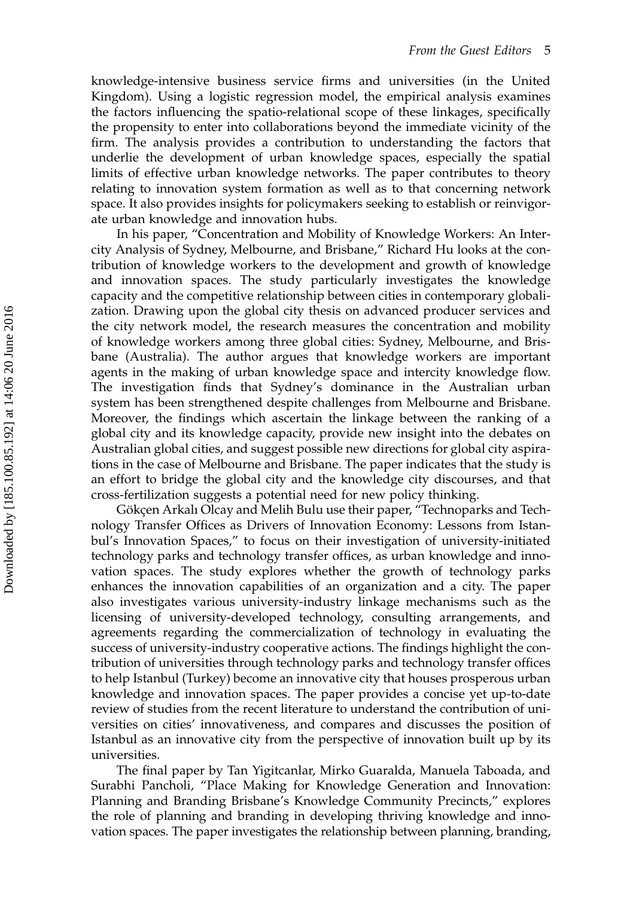knowledge-intensive business service firms and universities (in the United Kingdom). Using a logistic regression model, the empirical analysis examines the factors influencing the spatio-relational scope of these linkages, specifically the propensity to enter into collaborations beyond the immediate vicinity of the firm. The analysis provides a contribution to understanding the factors that underlie the development of urban knowledge spaces, especially the spatial limits of effective urban knowledge networks. The paper contributes to theory relating to innovation system formation as well as to that concerning network space. It also provides insights for policymakers seeking to establish or reinvigorate urban knowledge and innovation hubs.

In his paper, "Concentration and Mobility of Knowledge Workers: An Intercity Analysis of Sydney, Melbourne, and Brisbane," Richard Hu looks at the contribution of knowledge workers to the development and growth of knowledge and innovation spaces. The study particularly investigates the knowledge capacity and the competitive relationship between cities in contemporary globalization. Drawing upon the global city thesis on advanced producer services and the city network model, the research measures the concentration and mobility of knowledge workers among three global cities: Sydney, Melbourne, and Brisbane (Australia). The author argues that knowledge workers are important agents in the making of urban knowledge space and intercity knowledge flow. The investigation finds that Sydney's dominance in the Australian urban system has been strengthened despite challenges from Melbourne and Brisbane. Moreover, the findings which ascertain the linkage between the ranking of a global city and its knowledge capacity, provide new insight into the debates on Australian global cities, and suggest possible new directions for global city aspirations in the case of Melbourne and Brisbane. The paper indicates that the study is an effort to bridge the global city and the knowledge city discourses, and that cross-fertilization suggests a potential need for new policy thinking.

Gökçen Arkalı Olcay and Melih Bulu use their paper, "Technoparks and Technology Transfer Offices as Drivers of Innovation Economy: Lessons from Istanbul's Innovation Spaces," to focus on their investigation of university-initiated technology parks and technology transfer offices, as urban knowledge and innovation spaces. The study explores whether the growth of technology parks enhances the innovation capabilities of an organization and a city. The paper also investigates various university-industry linkage mechanisms such as the licensing of university-developed technology, consulting arrangements, and agreements regarding the commercialization of technology in evaluating the success of university-industry cooperative actions. The findings highlight the contribution of universities through technology parks and technology transfer offices to help Istanbul (Turkey) become an innovative city that houses prosperous urban knowledge and innovation spaces. The paper provides a concise yet up-to-date review of studies from the recent literature to understand the contribution of universities on cities' innovativeness, and compares and discusses the position of Istanbul as an innovative city from the perspective of innovation built up by its universities.

The final paper by Tan Yigitcanlar, Mirko Guaralda, Manuela Taboada, and Surabhi Pancholi, "Place Making for Knowledge Generation and Innovation: Planning and Branding Brisbane's Knowledge Community Precincts," explores the role of planning and branding in developing thriving knowledge and innovation spaces. The paper investigates the relationship between planning, branding,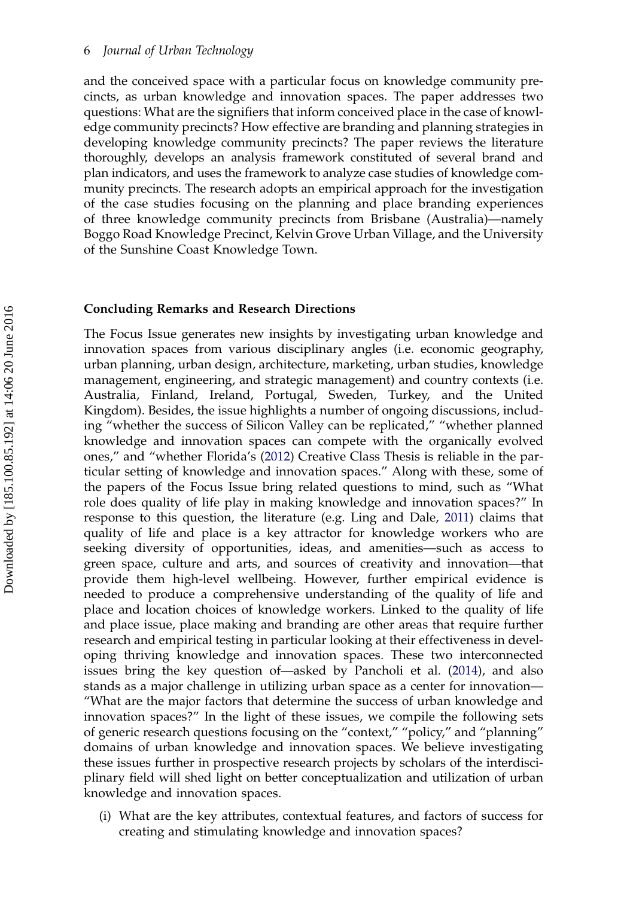#### <span id="page-6-0"></span>6 Journal of Urban Technology

and the conceived space with a particular focus on knowledge community precincts, as urban knowledge and innovation spaces. The paper addresses two questions: What are the signifiers that inform conceived place in the case of knowledge community precincts? How effective are branding and planning strategies in developing knowledge community precincts? The paper reviews the literature thoroughly, develops an analysis framework constituted of several brand and plan indicators, and uses the framework to analyze case studies of knowledge community precincts. The research adopts an empirical approach for the investigation of the case studies focusing on the planning and place branding experiences of three knowledge community precincts from Brisbane (Australia)—namely Boggo Road Knowledge Precinct, Kelvin Grove Urban Village, and the University of the Sunshine Coast Knowledge Town.

#### Concluding Remarks and Research Directions

The Focus Issue generates new insights by investigating urban knowledge and innovation spaces from various disciplinary angles (i.e. economic geography, urban planning, urban design, architecture, marketing, urban studies, knowledge management, engineering, and strategic management) and country contexts (i.e. Australia, Finland, Ireland, Portugal, Sweden, Turkey, and the United Kingdom). Besides, the issue highlights a number of ongoing discussions, including "whether the success of Silicon Valley can be replicated," "whether planned knowledge and innovation spaces can compete with the organically evolved ones," and "whether Florida's [\(2012](#page-8-0)) Creative Class Thesis is reliable in the particular setting of knowledge and innovation spaces." Along with these, some of the papers of the Focus Issue bring related questions to mind, such as "What role does quality of life play in making knowledge and innovation spaces?" In response to this question, the literature (e.g. Ling and Dale, [2011\)](#page-8-0) claims that quality of life and place is a key attractor for knowledge workers who are seeking diversity of opportunities, ideas, and amenities—such as access to green space, culture and arts, and sources of creativity and innovation—that provide them high-level wellbeing. However, further empirical evidence is needed to produce a comprehensive understanding of the quality of life and place and location choices of knowledge workers. Linked to the quality of life and place issue, place making and branding are other areas that require further research and empirical testing in particular looking at their effectiveness in developing thriving knowledge and innovation spaces. These two interconnected issues bring the key question of—asked by Pancholi et al. [\(2014](#page-8-0)), and also stands as a major challenge in utilizing urban space as a center for innovation— "What are the major factors that determine the success of urban knowledge and innovation spaces?" In the light of these issues, we compile the following sets of generic research questions focusing on the "context," "policy," and "planning" domains of urban knowledge and innovation spaces. We believe investigating these issues further in prospective research projects by scholars of the interdisciplinary field will shed light on better conceptualization and utilization of urban knowledge and innovation spaces.

(i) What are the key attributes, contextual features, and factors of success for creating and stimulating knowledge and innovation spaces?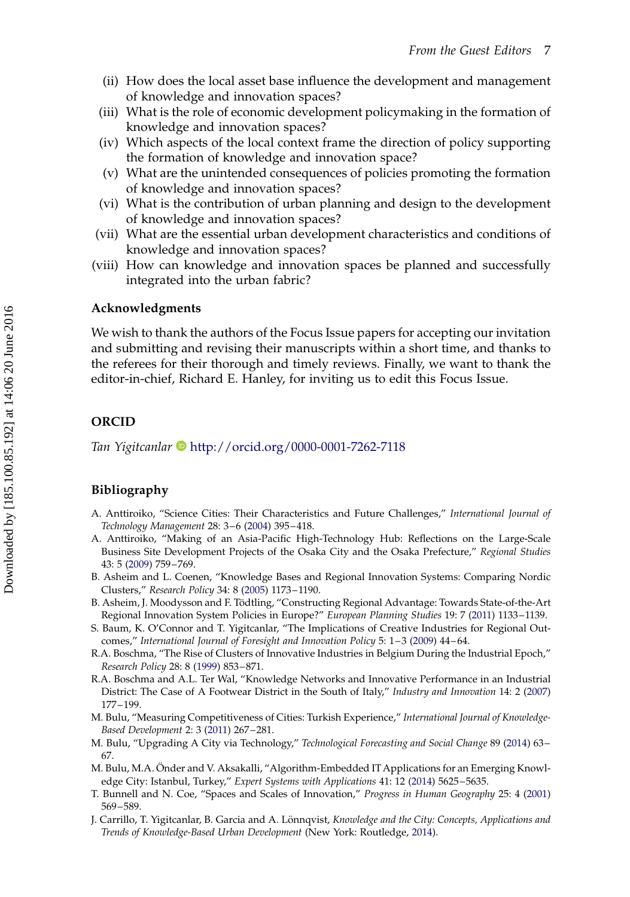- <span id="page-7-0"></span>(ii) How does the local asset base influence the development and management of knowledge and innovation spaces?
- (iii) What is the role of economic development policymaking in the formation of knowledge and innovation spaces?
- (iv) Which aspects of the local context frame the direction of policy supporting the formation of knowledge and innovation space?
- (v) What are the unintended consequences of policies promoting the formation of knowledge and innovation spaces?
- (vi) What is the contribution of urban planning and design to the development of knowledge and innovation spaces?
- (vii) What are the essential urban development characteristics and conditions of knowledge and innovation spaces?
- (viii) How can knowledge and innovation spaces be planned and successfully integrated into the urban fabric?

#### Acknowledgments

We wish to thank the authors of the Focus Issue papers for accepting our invitation and submitting and revising their manuscripts within a short time, and thanks to the referees for their thorough and timely reviews. Finally, we want to thank the editor-in-chief, Richard E. Hanley, for inviting us to edit this Focus Issue.

#### ORCID

Tan Yigitcanlar D<http://orcid.org/0000-0001-7262-7118>

#### Bibliography

- A. Anttiroiko, "Science Cities: Their Characteristics and Future Challenges," International Journal of Technology Management 28: 3 –6 ([2004\)](#page-2-0) 395– 418.
- A. Anttiroiko, "Making of an Asia-Pacific High-Technology Hub: Reflections on the Large-Scale Business Site Development Projects of the Osaka City and the Osaka Prefecture," Regional Studies 43: 5 ([2009\)](#page-2-0) 759–769.
- B. Asheim and L. Coenen, "Knowledge Bases and Regional Innovation Systems: Comparing Nordic Clusters," Research Policy 34: 8 ([2005\)](#page-1-0) 1173 –1190.
- B. Asheim, J. Moodysson and F. Tödtling, "Constructing Regional Advantage: Towards State-of-the-Art Regional Innovation System Policies in Europe?" European Planning Studies 19: 7 ([2011](#page-1-0)) 1133–1139.
- S. Baum, K. O'Connor and T. Yigitcanlar, "The Implications of Creative Industries for Regional Out-comes," International Journal of Foresight and Innovation Policy 5: 1-3 ([2009\)](#page-3-0) 44-64.
- R.A. Boschma, "The Rise of Clusters of Innovative Industries in Belgium During the Industrial Epoch," Research Policy 28: 8 [\(1999](#page-1-0)) 853– 871.
- R.A. Boschma and A.L. Ter Wal, "Knowledge Networks and Innovative Performance in an Industrial District: The Case of A Footwear District in the South of Italy," Industry and Innovation 14: 2 ([2007\)](#page-3-0) 177–199.
- M. Bulu, "Measuring Competitiveness of Cities: Turkish Experience," International Journal of Knowledge-Based Development 2: 3 ([2011](#page-1-0)) 267– 281.
- M. Bulu, "Upgrading A City via Technology," Technological Forecasting and Social Change 89 ([2014\)](#page-1-0) 63– 67.
- M. Bulu, M.A. Önder and V. Aksakalli, "Algorithm-Embedded IT Applications for an Emerging Knowl-edge City: Istanbul, Turkey," Expert Systems with Applications 41: 12 [\(2014](#page-1-0)) 5625-5635.
- T. Bunnell and N. Coe, "Spaces and Scales of Innovation," Progress in Human Geography 25: 4 ([2001\)](#page-1-0) 569–589.
- J. Carrillo, T. Yigitcanlar, B. Garcia and A. Lönnqvist, Knowledge and the City: Concepts, Applications and Trends of Knowledge-Based Urban Development (New York: Routledge, [2014\)](#page-1-0).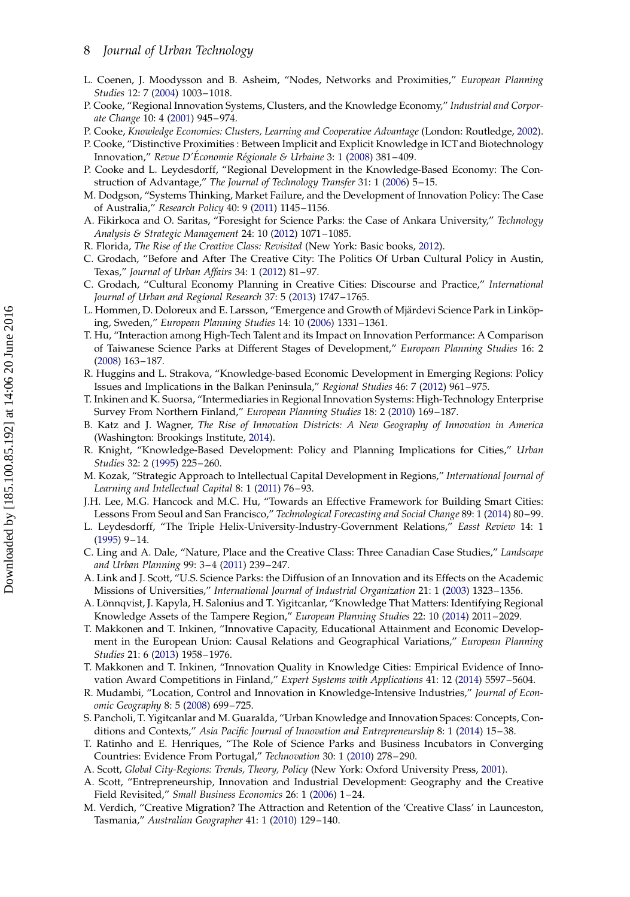- <span id="page-8-0"></span>L. Coenen, J. Moodysson and B. Asheim, "Nodes, Networks and Proximities," European Planning Studies 12: 7 [\(2004](#page-1-0)) 1003– 1018.
- P. Cooke, "Regional Innovation Systems, Clusters, and the Knowledge Economy," Industrial and Corporate Change 10: 4 ([2001](#page-1-0)) 945– 974.
- P. Cooke, Knowledge Economies: Clusters, Learning and Cooperative Advantage (London: Routledge, [2002](#page-2-0)).
- P. Cooke, "Distinctive Proximities : Between Implicit and Explicit Knowledge in ICT and Biotechnology Innovation," Revue D'Economie Régionale & Urbaine 3: 1 ([2008\)](#page-1-0) 381–409.
- P. Cooke and L. Leydesdorff, "Regional Development in the Knowledge-Based Economy: The Con-struction of Advantage," The Journal of Technology Transfer 31: 1 [\(2006](#page-3-0)) 5-15.
- M. Dodgson, "Systems Thinking, Market Failure, and the Development of Innovation Policy: The Case of Australia," Research Policy 40: 9 ([2011\)](#page-2-0) 1145– 1156.
- A. Fikirkoca and O. Saritas, "Foresight for Science Parks: the Case of Ankara University," Technology Analysis & Strategic Management 24: 10 ([2012\)](#page-2-0) 1071–1085.
- R. Florida, The Rise of the Creative Class: Revisited (New York: Basic books, [2012\)](#page-2-0).
- C. Grodach, "Before and After The Creative City: The Politics Of Urban Cultural Policy in Austin, Texas," Journal of Urban Affairs 34: 1 ([2012](#page-3-0)) 81–97.
- C. Grodach, "Cultural Economy Planning in Creative Cities: Discourse and Practice," International Journal of Urban and Regional Research 37: 5 ([2013\)](#page-3-0) 1747–1765.
- L. Hommen, D. Doloreux and E. Larsson, "Emergence and Growth of Mjärdevi Science Park in Linköping, Sweden," European Planning Studies 14: 10 [\(2006](#page-2-0)) 1331–1361.
- T. Hu, "Interaction among High-Tech Talent and its Impact on Innovation Performance: A Comparison of Taiwanese Science Parks at Different Stages of Development," European Planning Studies 16: 2 [\(2008](#page-3-0)) 163– 187.
- R. Huggins and L. Strakova, "Knowledge-based Economic Development in Emerging Regions: Policy Issues and Implications in the Balkan Peninsula," Regional Studies 46: 7 [\(2012](#page-3-0)) 961–975.
- T. Inkinen and K. Suorsa, "Intermediaries in Regional Innovation Systems: High-Technology Enterprise Survey From Northern Finland," European Planning Studies 18: 2 ([2010\)](#page-1-0) 169– 187.
- B. Katz and J. Wagner, The Rise of Innovation Districts: A New Geography of Innovation in America (Washington: Brookings Institute, [2014\)](#page-2-0).
- R. Knight, "Knowledge-Based Development: Policy and Planning Implications for Cities," Urban Studies 32: 2 [\(1995](#page-3-0)) 225–260.
- M. Kozak, "Strategic Approach to Intellectual Capital Development in Regions," International Journal of Learning and Intellectual Capital 8: 1 ([2011](#page-3-0)) 76–93.
- J.H. Lee, M.G. Hancock and M.C. Hu, "Towards an Effective Framework for Building Smart Cities: Lessons From Seoul and San Francisco," Technological Forecasting and Social Change 89: 1 ([2014\)](#page-1-0) 80–99.
- L. Leydesdorff, "The Triple Helix-University-Industry-Government Relations," Easst Review 14: 1  $(1995)$  $(1995)$  9-14.
- C. Ling and A. Dale, "Nature, Place and the Creative Class: Three Canadian Case Studies," Landscape and Urban Planning 99: 3-4 ([2011](#page-6-0)) 239-247.
- A. Link and J. Scott, "U.S. Science Parks: the Diffusion of an Innovation and its Effects on the Academic Missions of Universities," International Journal of Industrial Organization 21: 1 [\(2003](#page-2-0)) 1323-1356.
- A. Lönnqvist, J. Kapyla, H. Salonius and T. Yigitcanlar, "Knowledge That Matters: Identifying Regional Knowledge Assets of the Tampere Region," European Planning Studies 22: 10 ([2014\)](#page-3-0) 2011–2029.
- T. Makkonen and T. Inkinen, "Innovative Capacity, Educational Attainment and Economic Development in the European Union: Causal Relations and Geographical Variations," European Planning Studies 21: 6 [\(2013](#page-2-0)) 1958– 1976.
- T. Makkonen and T. Inkinen, "Innovation Quality in Knowledge Cities: Empirical Evidence of Innovation Award Competitions in Finland," Expert Systems with Applications 41: 12 [\(2014](#page-2-0)) 5597–5604.
- R. Mudambi, "Location, Control and Innovation in Knowledge-Intensive Industries," Journal of Economic Geography 8: 5 [\(2008](#page-1-0)) 699–725.
- S. Pancholi, T. Yigitcanlar and M. Guaralda, "Urban Knowledge and Innovation Spaces: Concepts, Conditions and Contexts," Asia Pacific Journal of Innovation and Entrepreneurship 8: 1 ([2014\)](#page-1-0) 15– 38.
- T. Ratinho and E. Henriques, "The Role of Science Parks and Business Incubators in Converging Countries: Evidence From Portugal," Technovation 30: 1 [\(2010](#page-2-0)) 278-290.
- A. Scott, Global City-Regions: Trends, Theory, Policy (New York: Oxford University Press, [2001](#page-1-0)).
- A. Scott, "Entrepreneurship, Innovation and Industrial Development: Geography and the Creative Field Revisited," Small Business Economics 26: 1 [\(2006](#page-2-0)) 1 –24.
- M. Verdich, "Creative Migration? The Attraction and Retention of the 'Creative Class' in Launceston, Tasmania," Australian Geographer 41: 1 [\(2010\)](#page-3-0) 129–140.